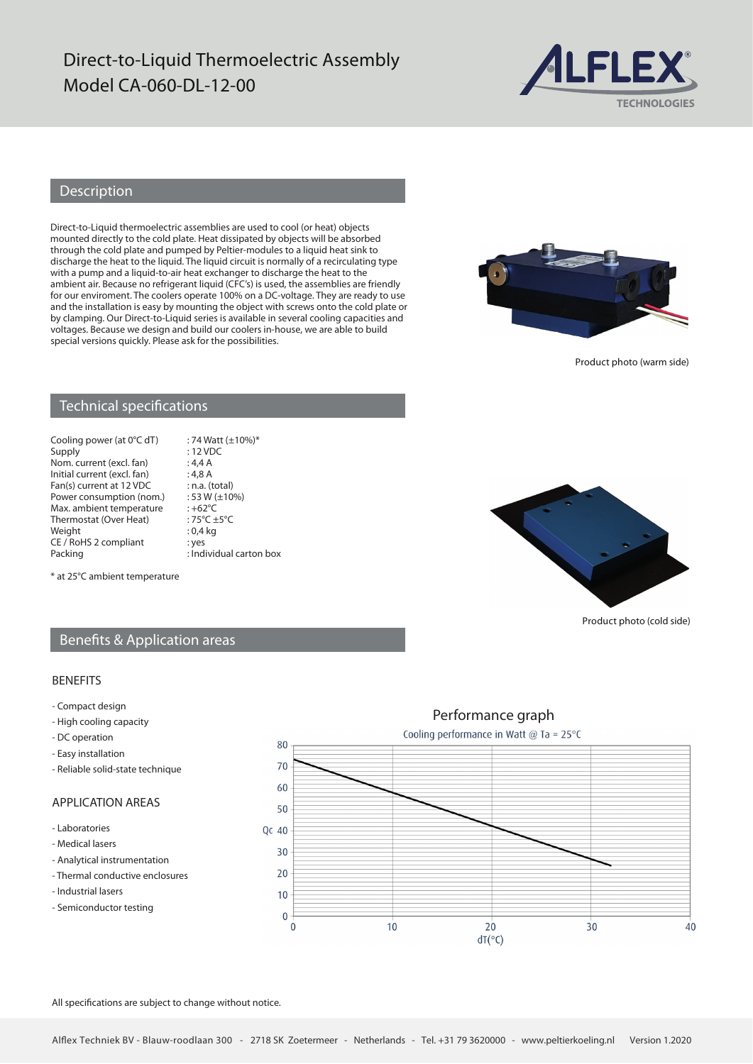# Direct-to-Liquid Thermoelectric Assembly Model CA-060-DL-12-00



### Description

Direct-to-Liquid thermoelectric assemblies are used to cool (or heat) objects mounted directly to the cold plate. Heat dissipated by objects will be absorbed through the cold plate and pumped by Peltier-modules to a liquid heat sink to discharge the heat to the liquid. The liquid circuit is normally of a recirculating type with a pump and a liquid-to-air heat exchanger to discharge the heat to the ambient air. Because no refrigerant liquid (CFC's) is used, the assemblies are friendly for our enviroment. The coolers operate 100% on a DC-voltage. They are ready to use and the installation is easy by mounting the object with screws onto the cold plate or by clamping. Our Direct-to-Liquid series is available in several cooling capacities and voltages. Because we design and build our coolers in-house, we are able to build special versions quickly. Please ask for the possibilities.



Product photo (warm side)

### Technical specifications

Cooling power (at  $0^{\circ}$ C dT) : 74 Watt (±10%)\*<br>Supply : 12 VDC Nom. current (excl. fan) : 4,4 A<br>Initial current (excl. fan) : 4,8 A Initial current (excl. fan) : 4,8 A<br>Fan(s) current at 12 VDC : n.a. (total) Fan(s) current at 12 VDC : n.a. (total)<br>Power consumption (nom.) : 53 W (±10%) Power consumption (nom.) : 53 W (<br>Max ambient temperature : +62 °C Max. ambient temperature : +62°C<br>Thermostat (Over Heat) : 75°C +5°C Thermostat (Over Heat) :  $75^{\circ}C \pm$ <br>Weight : 0,4 kg Weight CE / RoHS 2 compliant : yes<br>Packing : Ind

: 12 VDC<br>: 4,4 A  $:$  Individual carton box



Product photo (cold side)

#### \* at 25°C ambient temperature

### Benefits & Application areas

#### BENEFITS

- Compact design
- High cooling capacity
- DC operation
- Easy installation
- Reliable solid-state technique

### APPLICATION AREAS

- Laboratories
- Medical lasers
- Analytical instrumentation
- Thermal conductive enclosures
- Industrial lasers
- Semiconductor testing



All specifications are subject to change without notice.